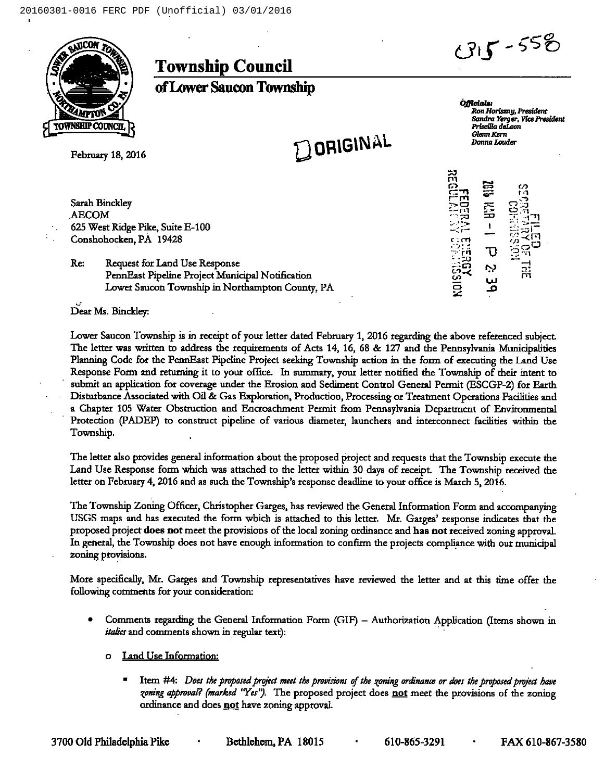

Township Council



ofLower Saucon Township

February 18, 2016

Satah Binckley AECOM 625 West Ridge Pike, Suite E-100 Conshohocken, PA 19428

DORIGINAL

Officials: Ron Horiszny, President Sandra Yerger, Vice President Priscilla deLeon Glenn Kern Donna Louder

 $\overline{\mathbf{r}}$ cs<br>! <u>1</u> .<br>.<br>.  $\overline{\Omega}$ <sup>C</sup> c1  $\Xi$ . -! મ  $-5$  $\bar{c}$   $\bar{c}$ I c:rri . ui Ū in ૢ૽ર  $\ddot{\mathbf{i}}$ CD

Re: Request for Land Use Response PennEast Pipeline Project Municipal Notification Lower Saucon Township in Northampton County, PA

Dear Ms. Binckley:

Lower Saucon Township is in receipt of your letter dated February 1, 2016 regarding the above referenced subject. The letter was written to address the requirements of Acts 14, 16, 68 & 127 and the Pennsylvania Municipalities Planning Code for the PennEast Pipeline Project seeking Township action in the fotm of executing the Land Use Response Form and returning it to your office. In summary, your letter notified the Township of their intent to submit an application for coverage under the Emsion and Sediment Control General Permit (ESCGP-2) for Earth Distutbance Associated with Oil & Gas Exploration, Production, Processing or Treatment Operations Facilities and a Chapter 105 Water Obstruction and Encroachment Permit from Pennsylvania Department of Environmental Protection (PADEP) to consttuct pipeline of various diameter, launchers and interconnect facilities within the Township.

The letter also provides general information about the proposed project and requests that the Township execute the Land Use Response form which was attached to the letter within 30 days of receipt. The Township received the letter on February 4, 2016 and as such the Township's response deadline to your office is March 5, 2016.

The Township Zoning Officer, Christopher Garges, has reviewed the General Information Form and accompanying USGS maps and has executed the form which is attached to this letter. Mr. Garges' response indicates that the proposed project does not meet the provisions of the local zoning ordinance and has not received zoning approval. In general, the Township does not have enough information to confirm the projects compliance with our municipal zoning provisions.

More specifically, Mr. Garges and Township representatives have reviewed the letter and at this time offer the following comments for your consideration:

- Comments regarding the General Information Form (GIF) Authorization Application (Items shown in *italics* and comments shown in regular text).
	- o Land Use Information:
		- Item #4: Does the proposed project meet the provisions of the zoning ordinance or does the proposed project have zoning approval? (marked 'Yes''). The proposed project does not meet the provisions of the zoning ordinance and does not have zoning approval.

3700 Old Philadelphia Pike · Bethlehem, PA 18015 · 610-865-3291 · FAX 610-867-3580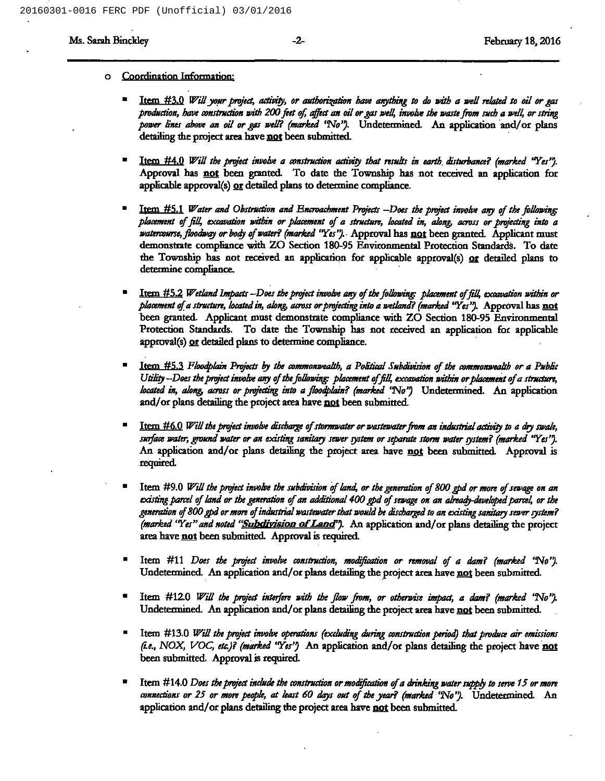## o Coordination Information:

- Item #3.0 Will your project, activity, or authorization have anything to do with a well related to oil or gas production, have construction with 200 feet of, affect an oil or gas well, involve the waste from such a well, or string power lines above an oil or gas well? (marked 'No"). Undetermined. An application and/or plans detailing the project area have not been submitted.
- Item  $#4.0$  Will the project involve a construction activity that results in earth disturbance? (marked "Yes"). Approval has not been granted. To date the Township has not received an application for applicable approval(s) or detailed plans to determine compliance.
- Item  $#5.1$  Water and Obstruction and Encroachment Projects  $-D$ oes the project involve any of the following: placement of fill, excavation within or placement of a structure, located in, along, across or projecting into a watercourse, floodway or body of water? (marked "Yes"). Approval has not been granted. Applicant must demonstrate compliance with ZO Section 180-95 Environmental Protection Standards. To date the Township has not received an application for applicable approval(s) or detailed plans to determine compliance.
- Item #5.2 Wetland Impacts --Does the project involve any of the following: placement of fill, excavation within or placement of a structure, located in, along, across or projecting into a wetland? (marked "Yes"). Approval has not been granted. Applicant must demonstrate compliance with ZO Section 180-95 Environmental Protection Standards. To date the Township has not received an application for applicable approval(s) or detailed plans to determine compliance.
- Item #5.3 Floodplain Projects by the commonwealth, a Political Subdivision of the commonwealth or a Public Utility --Does the project involve any of the following: placement of fill, excavation within or placement of a structure, located in, along, across or projecting into a floodplain? (marked 'No") Undetermined. An application and/or plans detailing the project area have not been submitted.
- Item #6.0 Will the project involve discharge of stormwater or wastewater from an industrial activity to a dry swale, surface water, ground water or an existing sanitary sewer system or separate storm water system? (marked "Yes"). An application and/or plans detailing the project area have not been submitted. Approval is required.
- Item #9.0 Will the project involve the subdivision of land, or the generation of 800 gpd or more of sewage on an existing parcel of land or the generation of an additional 400 gpd of sewage on an already-developed parcel, or the generation of 800 gpd or more of industrial wastewater that would be discharged to an existing sanitary sewer system? (marked "Yes" and noted "Subdivision of Land"). An application and/or plans detailing the project area have not been submitted. Approval is required.
- Item #11 Does the project involve construction, modification or removal of a dam? (marked "No"). Undetermined. An application and/or plans detailing the project area have not been submitted.
- Item #12.0 Will the project interfere with the flow from, or otherwise impact, a dam? (marked 'No''). Undetermined. An application and/or plans detailing the project area have not been submitted.
- Item #13.0 Will the project involve operations (excluding during construction period) that produce air emissions (i.e., NOX, VOC, etc.)? (marked "Yes") An application and/or plans detailing the project have not been submitted. Approval is required.
- Item #14.0 Does the project include the construction or modification of a drinking water supply to serve 15 or more connections or 25 or more people, at least 60 days out of the year? (marked 'No''). Undetermined. An application and/or plans detailing the project area have not been submitted.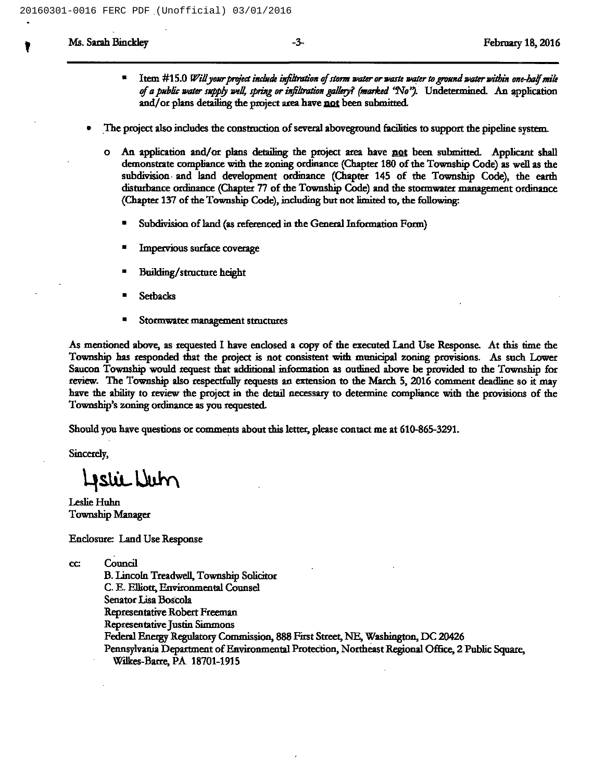- Item #15.0 Will your project include infiltration of storm water or waste water to ground water within one-half mile of a public water supply well, spring or infiltration gallery? (marked 'No''). Undetermined. An application and/or plans detailing the project area have not been submitted.
- The project also includes the construction of several aboveground facilities to support the pipeline system.
	- o An application and/or plans detailing the project area have not been submitted. Applicant shall demonstrate compliance with the zoning ordinance (Chapter 180 ofthe Township Code) as weil as the subdivision and land development ordinance (Chapter 145 of the Township Code), the earth disturbance ordinance (Chapter 77 of the Township Code) and the stormwater management ordinance (Chapter 137 of the Township Code), including but not limited to, the following:
		- Subdivision of land (as referenced in the General Information Form)
		- Impervious surface coverage
		- <sup>~</sup> Building/structure height
		- Setbacks
		- Stormwater management structures

As mentioned above, as requested I have endosed <sup>a</sup> copy of the executed Land Use Response. At this time the Township has responded that the project is not consistent with municipal zoning provisions. As such Lower Saucon Township would request that additional information as outlined above be provided to the Township for review. The Township also respectfully requests an extension to the March 5, 2016 comment deadline so it may have the ability to review the project in the detail necessary to determine compliance with the provisions of the Township's zoning ordinance as you requested.

Should you have questions or comments about this letter, please contact me at 610-865-3291.

Sincerely,

Listic Num

Leslie Huhn Township Manager

Endosure: Land Use Response

cc Council

B.Lincoln Treadwell, Township Solicitor C. E. Elliott, Environmental Counsel Senator Lisa Boscoia Representative Robert Freeman Representative Justin Simmons Fedend Bnetgy Regulatory Commission, 888 First Street, NE, Washington, DC 20426 Pennsylvania Department of Environmental Protection, Northeast Regional Office, 2 Public Square, Wilkes-Barre, PA 18701-1915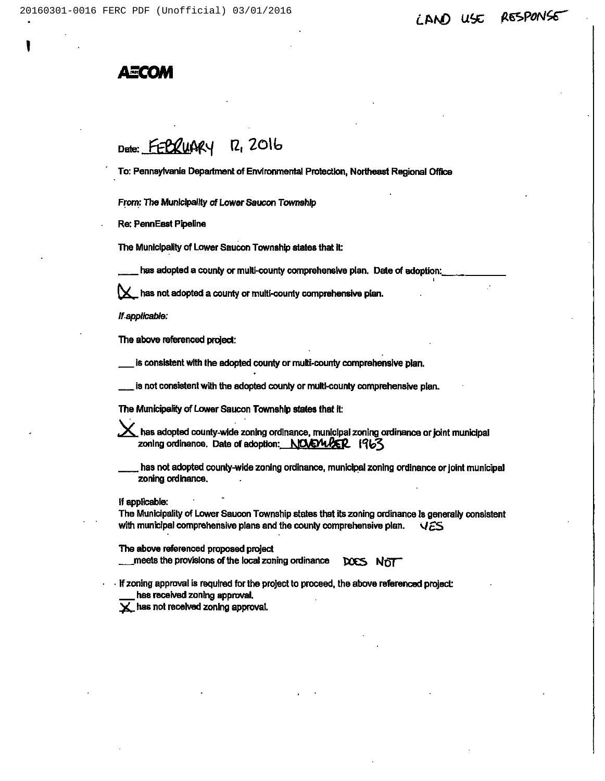## LAND USE RESPONSE

## Axa

Date: FEBRUARY R, 2016

To: Pennsylvania Department of Environmental Protection, Northeast Regional Office

From: The Municipality of Lower Saucon Township

Re: PennEsst Pipeline

The Municipality of Lower Saucon Township states that It:

has adopted a county or multi-county comprehensive plan. Date of adoption:

 ${\times}$  has not adopted a county or multi-county comprehensive plan.

Ifapplicable:

The above referenced project:

is consistent with the adopted county or multi-county comprehensive plan.

is not consistent with the adopted county or multi-county comprehensive plan.

The Municipality of Lower Saucon Township states that it:

 $\bm{\times}$  has adopted county-wide zoning ordinance, municipal zoning ordinance or joint municipal zoning ordinance. Date of adoption:  $NQ/NQER$   $1963$ 

has not adopted county-wide zoning ordinance, municipal zoning ordinance or joint municipal zoning ordinance.

If applicable:

Ths Municipality of Lower Saucon Township states that its zoning ordinance ls generally consistent with municipal comprehensive plans and the county comprehensive plan. YES

The above referenced proposed project

meets the provisions of the local zoning ordinance DOCS NOT

If zoning approval is required for the project to proceed, the above referenced project: hes received zoning approval.

 $\times$  has not received zoning approval.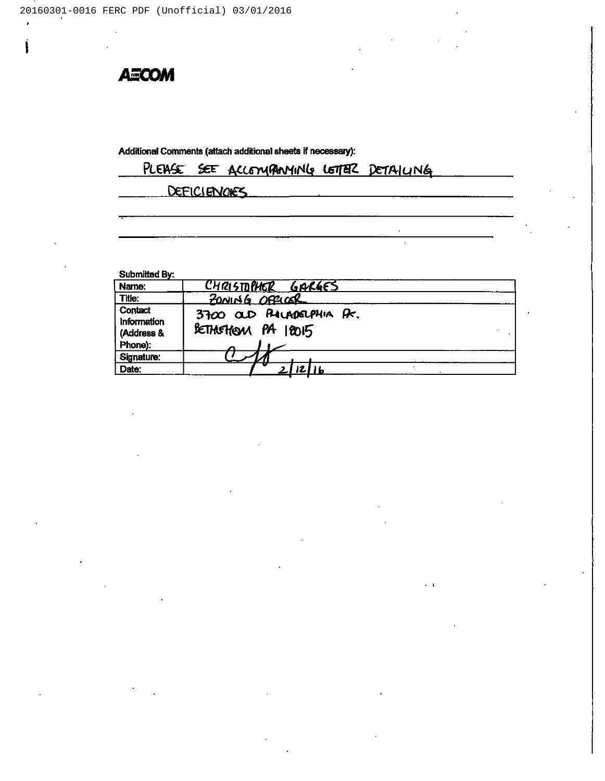**AECOM** 

í.

Additional Comments (attach additional sheets if necessary):

|  |              | PLEASE SEE ACCOMPANYING LETTER DETAILING |  |  |
|--|--------------|------------------------------------------|--|--|
|  | DEFICIENCIES |                                          |  |  |
|  |              |                                          |  |  |

 $\alpha$ 

Submitted By:

| Name:                                           | CHRISTOPHER GARGES                              |
|-------------------------------------------------|-------------------------------------------------|
| Title:                                          | ZONING OFFICER                                  |
| Contact<br>Information<br>(Address &<br>Phone): | 3700 OUD PALADELPHIA Pr.<br>BETHOFHEAM PA 18015 |
| Signature:<br>Date:                             |                                                 |